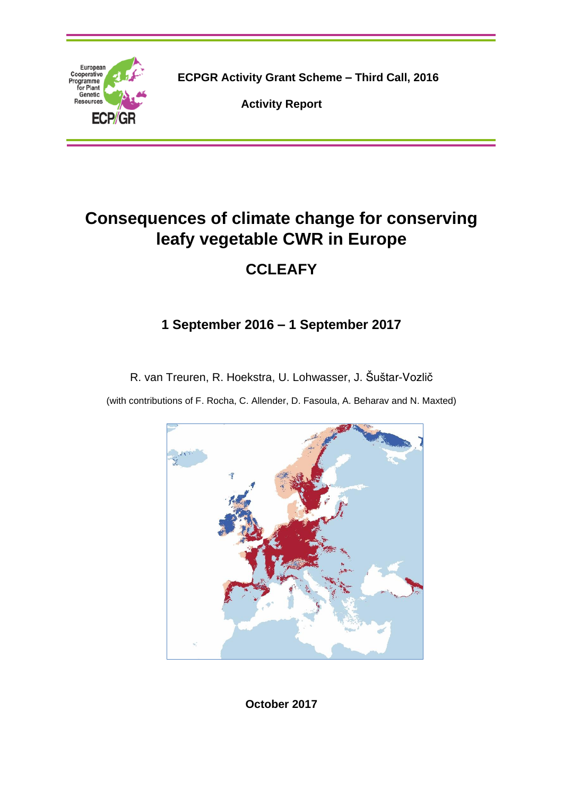

**ECPGR Activity Grant Scheme – Third Call, 2016**

**Activity Report**

# **Consequences of climate change for conserving leafy vegetable CWR in Europe**

## **CCLEAFY**

### **1 September 2016 – 1 September 2017**

R. van Treuren, R. Hoekstra, U. Lohwasser, J. Šuštar-Vozlič

(with contributions of F. Rocha, C. Allender, D. Fasoula, A. Beharav and N. Maxted)



**October 2017**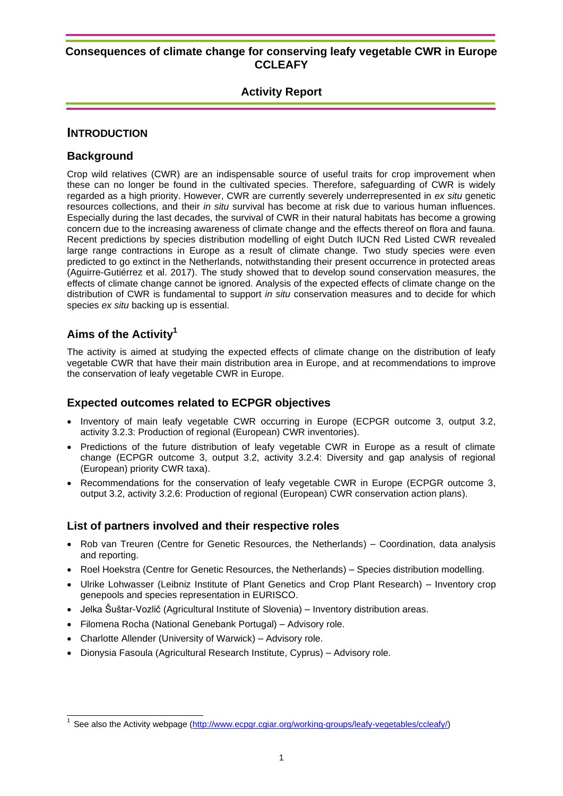#### **Activity Report**

#### **INTRODUCTION**

#### **Background**

Crop wild relatives (CWR) are an indispensable source of useful traits for crop improvement when these can no longer be found in the cultivated species. Therefore, safeguarding of CWR is widely regarded as a high priority. However, CWR are currently severely underrepresented in *ex situ* genetic resources collections, and their *in situ* survival has become at risk due to various human influences. Especially during the last decades, the survival of CWR in their natural habitats has become a growing concern due to the increasing awareness of climate change and the effects thereof on flora and fauna. Recent predictions by species distribution modelling of eight Dutch IUCN Red Listed CWR revealed large range contractions in Europe as a result of climate change. Two study species were even predicted to go extinct in the Netherlands, notwithstanding their present occurrence in protected areas (Aguirre-Gutiérrez et al. 2017). The study showed that to develop sound conservation measures, the effects of climate change cannot be ignored. Analysis of the expected effects of climate change on the distribution of CWR is fundamental to support *in situ* conservation measures and to decide for which species *ex situ* backing up is essential.

#### **Aims of the Activity<sup>1</sup>**

 $\overline{a}$ 

The activity is aimed at studying the expected effects of climate change on the distribution of leafy vegetable CWR that have their main distribution area in Europe, and at recommendations to improve the conservation of leafy vegetable CWR in Europe.

#### **Expected outcomes related to ECPGR objectives**

- Inventory of main leafy vegetable CWR occurring in Europe (ECPGR outcome 3, output 3.2, activity 3.2.3: Production of regional (European) CWR inventories).
- Predictions of the future distribution of leafy vegetable CWR in Europe as a result of climate change (ECPGR outcome 3, output 3.2, activity 3.2.4: Diversity and gap analysis of regional (European) priority CWR taxa).
- Recommendations for the conservation of leafy vegetable CWR in Europe (ECPGR outcome 3, output 3.2, activity 3.2.6: Production of regional (European) CWR conservation action plans).

#### **List of partners involved and their respective roles**

- Rob van Treuren (Centre for Genetic Resources, the Netherlands) Coordination, data analysis and reporting.
- Roel Hoekstra (Centre for Genetic Resources, the Netherlands) Species distribution modelling.
- Ulrike Lohwasser (Leibniz Institute of Plant Genetics and Crop Plant Research) Inventory crop genepools and species representation in EURISCO.
- Jelka Šuštar-Vozlič (Agricultural Institute of Slovenia) Inventory distribution areas.
- Filomena Rocha (National Genebank Portugal) Advisory role.
- Charlotte Allender (University of Warwick) Advisory role.
- Dionysia Fasoula (Agricultural Research Institute, Cyprus) Advisory role.

<sup>&</sup>lt;sup>1</sup> See also the Activity webpage [\(http://www.ecpgr.cgiar.org/working-groups/leafy-vegetables/ccleafy/\)](http://www.ecpgr.cgiar.org/working-groups/leafy-vegetables/ccleafy/)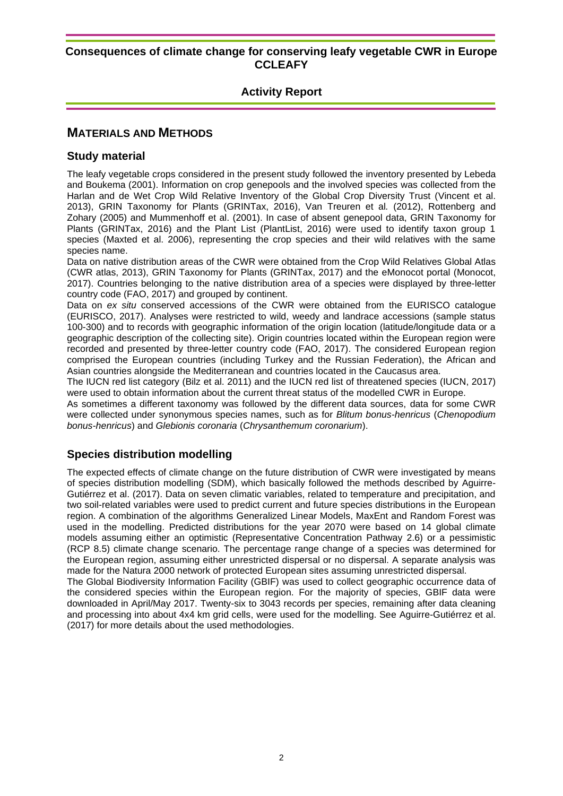#### **Activity Report**

#### **MATERIALS AND METHODS**

#### **Study material**

The leafy vegetable crops considered in the present study followed the inventory presented by Lebeda and Boukema (2001). Information on crop genepools and the involved species was collected from the Harlan and de Wet Crop Wild Relative Inventory of the Global Crop Diversity Trust (Vincent et al. 2013), GRIN Taxonomy for Plants (GRINTax, 2016), Van Treuren et al*.* (2012), Rottenberg and Zohary (2005) and Mummenhoff et al. (2001). In case of absent genepool data, GRIN Taxonomy for Plants (GRINTax, 2016) and the Plant List (PlantList, 2016) were used to identify taxon group 1 species (Maxted et al. 2006), representing the crop species and their wild relatives with the same species name.

Data on native distribution areas of the CWR were obtained from the Crop Wild Relatives Global Atlas (CWR atlas, 2013), GRIN Taxonomy for Plants (GRINTax, 2017) and the eMonocot portal (Monocot, 2017). Countries belonging to the native distribution area of a species were displayed by three-letter country code (FAO, 2017) and grouped by continent.

Data on *ex situ* conserved accessions of the CWR were obtained from the EURISCO catalogue (EURISCO, 2017). Analyses were restricted to wild, weedy and landrace accessions (sample status 100-300) and to records with geographic information of the origin location (latitude/longitude data or a geographic description of the collecting site). Origin countries located within the European region were recorded and presented by three-letter country code (FAO, 2017). The considered European region comprised the European countries (including Turkey and the Russian Federation), the African and Asian countries alongside the Mediterranean and countries located in the Caucasus area.

The IUCN red list category (Bilz et al. 2011) and the IUCN red list of threatened species (IUCN, 2017) were used to obtain information about the current threat status of the modelled CWR in Europe.

As sometimes a different taxonomy was followed by the different data sources, data for some CWR were collected under synonymous species names, such as for *Blitum bonus-henricus* (*Chenopodium bonus-henricus*) and *Glebionis coronaria* (*Chrysanthemum coronarium*).

#### **Species distribution modelling**

The expected effects of climate change on the future distribution of CWR were investigated by means of species distribution modelling (SDM), which basically followed the methods described by Aguirre-Gutiérrez et al. (2017). Data on seven climatic variables, related to temperature and precipitation, and two soil-related variables were used to predict current and future species distributions in the European region. A combination of the algorithms Generalized Linear Models, MaxEnt and Random Forest was used in the modelling. Predicted distributions for the year 2070 were based on 14 global climate models assuming either an optimistic (Representative Concentration Pathway 2.6) or a pessimistic (RCP 8.5) climate change scenario. The percentage range change of a species was determined for the European region, assuming either unrestricted dispersal or no dispersal. A separate analysis was made for the Natura 2000 network of protected European sites assuming unrestricted dispersal.

The Global Biodiversity Information Facility (GBIF) was used to collect geographic occurrence data of the considered species within the European region. For the majority of species, GBIF data were downloaded in April/May 2017. Twenty-six to 3043 records per species, remaining after data cleaning and processing into about 4x4 km grid cells, were used for the modelling. See Aguirre-Gutiérrez et al. (2017) for more details about the used methodologies.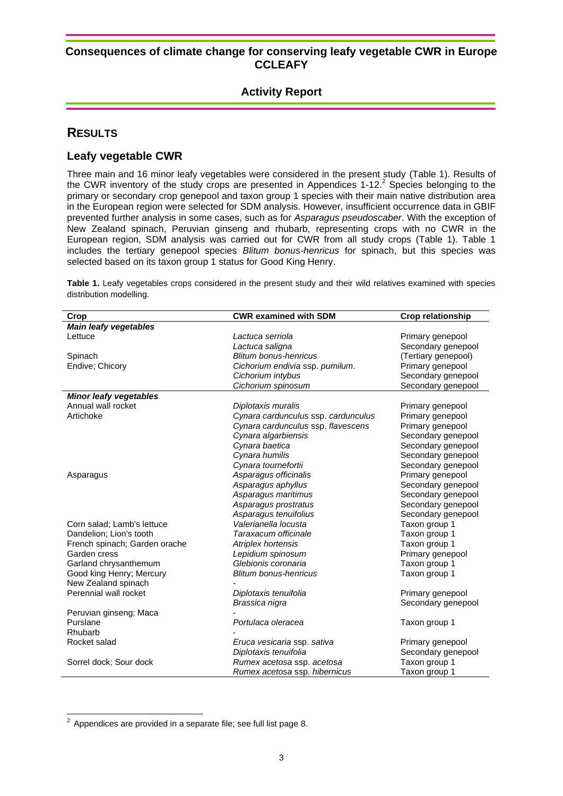#### **Activity Report**

#### **RESULTS**

#### **Leafy vegetable CWR**

Three main and 16 minor leafy vegetables were considered in the present study (Table 1). Results of the CWR inventory of the study crops are presented in Appendices 1-12. $2$  Species belonging to the primary or secondary crop genepool and taxon group 1 species with their main native distribution area in the European region were selected for SDM analysis. However, insufficient occurrence data in GBIF prevented further analysis in some cases, such as for *Asparagus pseudoscaber*. With the exception of New Zealand spinach, Peruvian ginseng and rhubarb, representing crops with no CWR in the European region, SDM analysis was carried out for CWR from all study crops (Table 1). Table 1 includes the tertiary genepool species *Blitum bonus-henricus* for spinach, but this species was selected based on its taxon group 1 status for Good King Henry.

**Table 1.** Leafy vegetables crops considered in the present study and their wild relatives examined with species distribution modelling.

| Crop                          | <b>CWR examined with SDM</b>        | <b>Crop relationship</b> |
|-------------------------------|-------------------------------------|--------------------------|
| <b>Main leafy vegetables</b>  |                                     |                          |
| Lettuce                       | Lactuca serriola                    | Primary genepool         |
|                               | Lactuca saligna                     | Secondary genepool       |
| Spinach                       | <b>Blitum bonus-henricus</b>        | (Tertiary genepool)      |
| Endive; Chicory               | Cichorium endivia ssp. pumilum.     | Primary genepool         |
|                               | Cichorium intybus                   | Secondary genepool       |
|                               | Cichorium spinosum                  | Secondary genepool       |
| <b>Minor leafy vegetables</b> |                                     |                          |
| Annual wall rocket            | Diplotaxis muralis                  | Primary genepool         |
| Artichoke                     | Cynara cardunculus ssp. cardunculus | Primary genepool         |
|                               | Cynara cardunculus ssp. flavescens  | Primary genepool         |
|                               | Cynara algarbiensis                 | Secondary genepool       |
|                               | Cynara baetica                      | Secondary genepool       |
|                               | Cynara humilis                      | Secondary genepool       |
|                               | Cynara tournefortii                 | Secondary genepool       |
| Asparagus                     | Asparagus officinalis               | Primary genepool         |
|                               | Asparagus aphyllus                  | Secondary genepool       |
|                               | Asparagus maritimus                 | Secondary genepool       |
|                               | Asparagus prostratus                | Secondary genepool       |
|                               | Asparagus tenuifolius               | Secondary genepool       |
| Corn salad; Lamb's lettuce    | Valerianella locusta                | Taxon group 1            |
| Dandelion; Lion's tooth       | Taraxacum officinale                | Taxon group 1            |
| French spinach; Garden orache | Atriplex hortensis                  | Taxon group 1            |
| Garden cress                  | Lepidium spinosum                   | Primary genepool         |
| Garland chrysanthemum         | Glebionis coronaria                 | Taxon group 1            |
| Good king Henry; Mercury      | <b>Blitum bonus-henricus</b>        | Taxon group 1            |
| New Zealand spinach           |                                     |                          |
| Perennial wall rocket         | Diplotaxis tenuifolia               | Primary genepool         |
|                               | Brassica nigra                      | Secondary genepool       |
| Peruvian ginseng; Maca        |                                     |                          |
| Purslane                      | Portulaca oleracea                  | Taxon group 1            |
| Rhubarb                       |                                     |                          |
| Rocket salad                  | Eruca vesicaria ssp. sativa         | Primary genepool         |
|                               | Diplotaxis tenuifolia               | Secondary genepool       |
| Sorrel dock; Sour dock        | Rumex acetosa ssp. acetosa          | Taxon group 1            |
|                               | Rumex acetosa ssp. hibernicus       | Taxon group 1            |

 2 Appendices are provided in a separate file; see full list page [8](#page-8-0).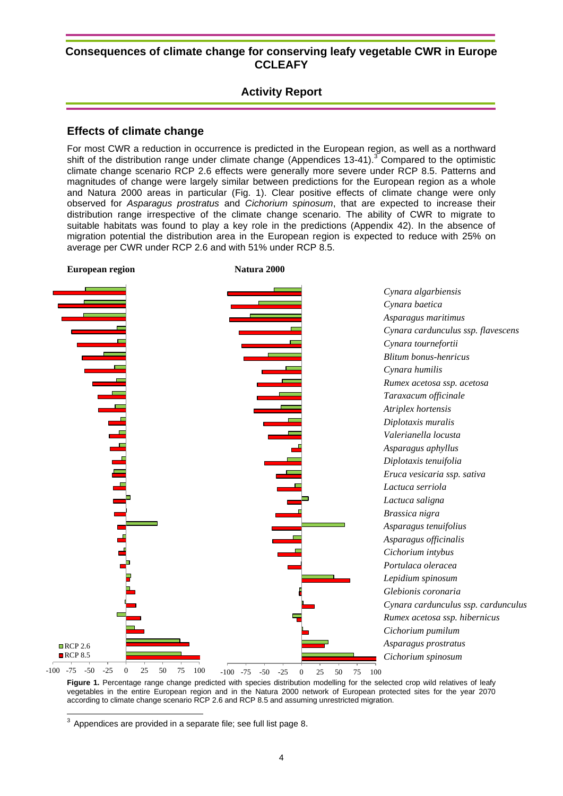#### **Activity Report**

#### **Effects of climate change**

For most CWR a reduction in occurrence is predicted in the European region, as well as a northward shift of the distribution range under climate change (Appendices 13-41).<sup>3</sup> Compared to the optimistic climate change scenario RCP 2.6 effects were generally more severe under RCP 8.5. Patterns and magnitudes of change were largely similar between predictions for the European region as a whole and Natura 2000 areas in particular (Fig. 1). Clear positive effects of climate change were only observed for *Asparagus prostratus* and *Cichorium spinosum*, that are expected to increase their distribution range irrespective of the climate change scenario. The ability of CWR to migrate to suitable habitats was found to play a key role in the predictions (Appendix 42). In the absence of migration potential the distribution area in the European region is expected to reduce with 25% on average per CWR under RCP 2.6 and with 51% under RCP 8.5.



Figure 1. Percentage range change predicted with species distribution modelling for the selected crop wild relatives of leafy vegetables in the entire European region and in the Natura 2000 network of European protected sites for the year 2070 according to climate change scenario RCP 2.6 and RCP 8.5 and assuming unrestricted migration.

 $\frac{3}{3}$  Appendices are provided in a separate file; see full list page [8](#page-8-0).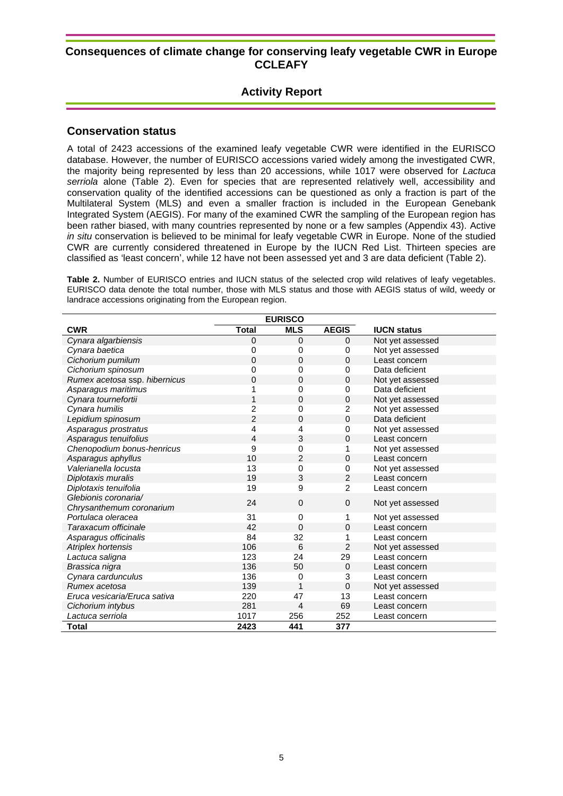#### **Activity Report**

#### **Conservation status**

A total of 2423 accessions of the examined leafy vegetable CWR were identified in the EURISCO database. However, the number of EURISCO accessions varied widely among the investigated CWR, the majority being represented by less than 20 accessions, while 1017 were observed for *Lactuca serriola* alone (Table 2). Even for species that are represented relatively well, accessibility and conservation quality of the identified accessions can be questioned as only a fraction is part of the Multilateral System (MLS) and even a smaller fraction is included in the European Genebank Integrated System (AEGIS). For many of the examined CWR the sampling of the European region has been rather biased, with many countries represented by none or a few samples (Appendix 43). Active *in situ* conservation is believed to be minimal for leafy vegetable CWR in Europe. None of the studied CWR are currently considered threatened in Europe by the IUCN Red List. Thirteen species are classified as 'least concern', while 12 have not been assessed yet and 3 are data deficient (Table 2).

**Table 2.** Number of EURISCO entries and IUCN status of the selected crop wild relatives of leafy vegetables. EURISCO data denote the total number, those with MLS status and those with AEGIS status of wild, weedy or landrace accessions originating from the European region.

|                               | <b>EURISCO</b> |                |                |                    |
|-------------------------------|----------------|----------------|----------------|--------------------|
| <b>CWR</b>                    | <b>Total</b>   | <b>MLS</b>     | <b>AEGIS</b>   | <b>IUCN status</b> |
| Cynara algarbiensis           | $\mathbf 0$    | 0              | 0              | Not yet assessed   |
| Cynara baetica                | 0              | 0              | 0              | Not yet assessed   |
| Cichorium pumilum             | $\Omega$       | $\Omega$       | 0              | Least concern      |
| Cichorium spinosum            | 0              | 0              | 0              | Data deficient     |
| Rumex acetosa ssp. hibernicus | $\mathbf 0$    | $\mathbf 0$    | 0              | Not yet assessed   |
| Asparagus maritimus           |                | 0              | 0              | Data deficient     |
| Cynara tournefortii           | 1              | 0              | 0              | Not yet assessed   |
| Cynara humilis                | $\overline{2}$ | 0              | $\overline{c}$ | Not yet assessed   |
| Lepidium spinosum             | $\overline{2}$ | $\mathbf 0$    | 0              | Data deficient     |
| Asparagus prostratus          | 4              | 4              | 0              | Not yet assessed   |
| Asparagus tenuifolius         | 4              | 3              | 0              | Least concern      |
| Chenopodium bonus-henricus    | 9              | 0              |                | Not yet assessed   |
| Asparagus aphyllus            | 10             | 2              | 0              | Least concern      |
| Valerianella locusta          | 13             | 0              | 0              | Not yet assessed   |
| Diplotaxis muralis            | 19             | 3              | $\overline{2}$ | Least concern      |
| Diplotaxis tenuifolia         | 19             | 9              | $\overline{2}$ | Least concern      |
| Glebionis coronaria/          | 24             | $\mathbf{0}$   | 0              | Not yet assessed   |
| Chrysanthemum coronarium      |                |                |                |                    |
| Portulaca oleracea            | 31             | 0              | 1              | Not yet assessed   |
| Taraxacum officinale          | 42             | 0              | 0              | Least concern      |
| Asparagus officinalis         | 84             | 32             | 1              | Least concern      |
| Atriplex hortensis            | 106            | 6              | $\overline{2}$ | Not yet assessed   |
| Lactuca saligna               | 123            | 24             | 29             | Least concern      |
| Brassica nigra                | 136            | 50             | 0              | Least concern      |
| Cynara cardunculus            | 136            | 0              | 3              | Least concern      |
| Rumex acetosa                 | 139            | 1              | 0              | Not yet assessed   |
| Eruca vesicaria/Eruca sativa  | 220            | 47             | 13             | Least concern      |
| Cichorium intybus             | 281            | $\overline{4}$ | 69             | Least concern      |
| Lactuca serriola              | 1017           | 256            | 252            | Least concern      |
| <b>Total</b>                  | 2423           | 441            | 377            |                    |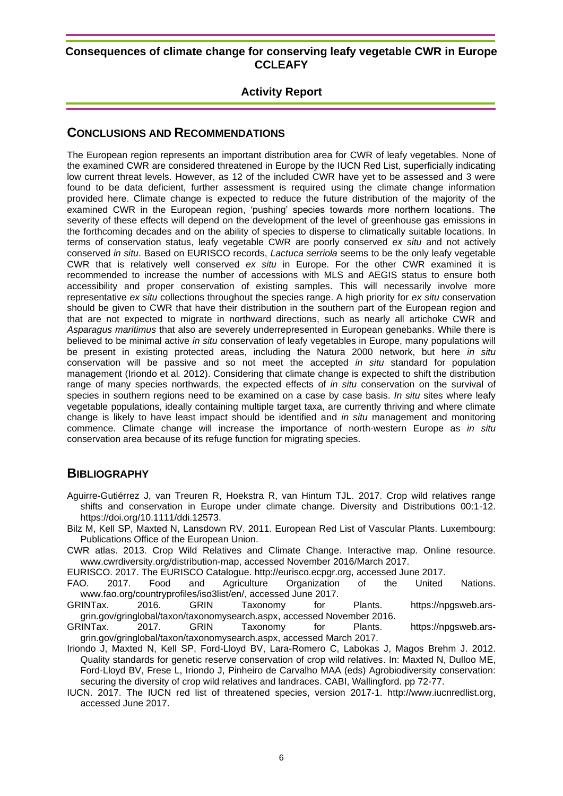#### **Activity Report**

#### **CONCLUSIONS AND RECOMMENDATIONS**

The European region represents an important distribution area for CWR of leafy vegetables. None of the examined CWR are considered threatened in Europe by the IUCN Red List, superficially indicating low current threat levels. However, as 12 of the included CWR have yet to be assessed and 3 were found to be data deficient, further assessment is required using the climate change information provided here. Climate change is expected to reduce the future distribution of the majority of the examined CWR in the European region, 'pushing' species towards more northern locations. The severity of these effects will depend on the development of the level of greenhouse gas emissions in the forthcoming decades and on the ability of species to disperse to climatically suitable locations. In terms of conservation status, leafy vegetable CWR are poorly conserved *ex situ* and not actively conserved *in situ*. Based on EURISCO records, *Lactuca serriola* seems to be the only leafy vegetable CWR that is relatively well conserved *ex situ* in Europe. For the other CWR examined it is recommended to increase the number of accessions with MLS and AEGIS status to ensure both accessibility and proper conservation of existing samples. This will necessarily involve more representative *ex situ* collections throughout the species range. A high priority for *ex situ* conservation should be given to CWR that have their distribution in the southern part of the European region and that are not expected to migrate in northward directions, such as nearly all artichoke CWR and *Asparagus maritimus* that also are severely underrepresented in European genebanks. While there is believed to be minimal active *in situ* conservation of leafy vegetables in Europe, many populations will be present in existing protected areas, including the Natura 2000 network, but here *in situ* conservation will be passive and so not meet the accepted *in situ* standard for population management (Iriondo et al*.* 2012). Considering that climate change is expected to shift the distribution range of many species northwards, the expected effects of *in situ* conservation on the survival of species in southern regions need to be examined on a case by case basis. *In situ* sites where leafy vegetable populations, ideally containing multiple target taxa, are currently thriving and where climate change is likely to have least impact should be identified and *in situ* management and monitoring commence. Climate change will increase the importance of north-western Europe as *in situ* conservation area because of its refuge function for migrating species.

#### **BIBLIOGRAPHY**

Aguirre-Gutiérrez J, van Treuren R, Hoekstra R, van Hintum TJL. 2017. Crop wild relatives range shifts and conservation in Europe under climate change. Diversity and Distributions 00:1-12. https://doi.org/10.1111/ddi.12573.

Bilz M, Kell SP, Maxted N, Lansdown RV. 2011. European Red List of Vascular Plants. Luxembourg: Publications Office of the European Union.

CWR atlas. 2013. Crop Wild Relatives and Climate Change. Interactive map. Online resource. www.cwrdiversity.org/distribution-map, accessed November 2016/March 2017.

EURISCO. 2017. The EURISCO Catalogue. http://eurisco.ecpgr.org, accessed June 2017.

FAO. 2017. Food and Agriculture Organization of the United Nations. www.fao.org/countryprofiles/iso3list/en/, accessed June 2017.

GRINTax. 2016. GRIN Taxonomy for Plants. https://npgsweb.arsgrin.gov/gringlobal/taxon/taxonomysearch.aspx, accessed November 2016.<br>INTax. 2017. GRIN Taxonomy for Plants.

GRINTax. 2017. GRIN Taxonomy for Plants. https://npgsweb.arsgrin.gov/gringlobal/taxon/taxonomysearch.aspx, accessed March 2017.

Iriondo J, Maxted N, Kell SP, Ford-Lloyd BV, Lara-Romero C, Labokas J, Magos Brehm J. 2012. Quality standards for genetic reserve conservation of crop wild relatives. In: Maxted N, Dulloo ME, Ford-Lloyd BV, Frese L, Iriondo J, Pinheiro de Carvalho MAA (eds) Agrobiodiversity conservation: securing the diversity of crop wild relatives and landraces. CABI, Wallingford. pp 72-77.

IUCN. 2017. The IUCN red list of threatened species, version 2017-1. http://www.iucnredlist.org, accessed June 2017.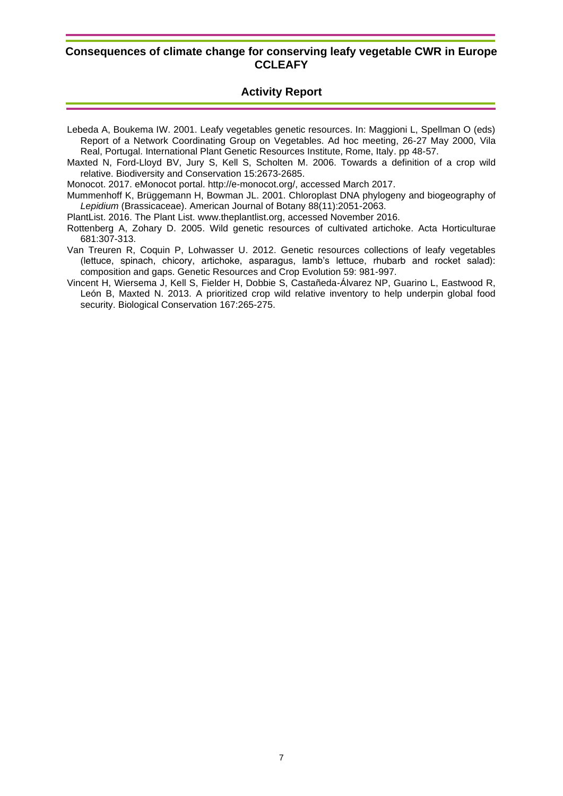#### **Activity Report**

- Lebeda A, Boukema IW. 2001. Leafy vegetables genetic resources. In: Maggioni L, Spellman O (eds) Report of a Network Coordinating Group on Vegetables. Ad hoc meeting, 26-27 May 2000, Vila Real, Portugal. International Plant Genetic Resources Institute, Rome, Italy. pp 48-57.
- Maxted N, Ford-Lloyd BV, Jury S, Kell S, Scholten M. 2006. Towards a definition of a crop wild relative. Biodiversity and Conservation 15:2673-2685.

Monocot. 2017. eMonocot portal. http://e-monocot.org/, accessed March 2017.

Mummenhoff K, Brüggemann H, Bowman JL. 2001. Chloroplast DNA phylogeny and biogeography of *Lepidium* (Brassicaceae). American Journal of Botany 88(11):2051-2063.

PlantList. 2016. The Plant List. www.theplantlist.org, accessed November 2016.

- Rottenberg A, Zohary D. 2005. Wild genetic resources of cultivated artichoke. Acta Horticulturae 681:307-313.
- Van Treuren R, Coquin P, Lohwasser U. 2012. Genetic resources collections of leafy vegetables (lettuce, spinach, chicory, artichoke, asparagus, lamb's lettuce, rhubarb and rocket salad): composition and gaps. Genetic Resources and Crop Evolution 59: 981-997.
- Vincent H, Wiersema J, Kell S, Fielder H, Dobbie S, Castañeda-Álvarez NP, Guarino L, Eastwood R, León B, Maxted N. 2013. A prioritized crop wild relative inventory to help underpin global food security. Biological Conservation 167:265-275.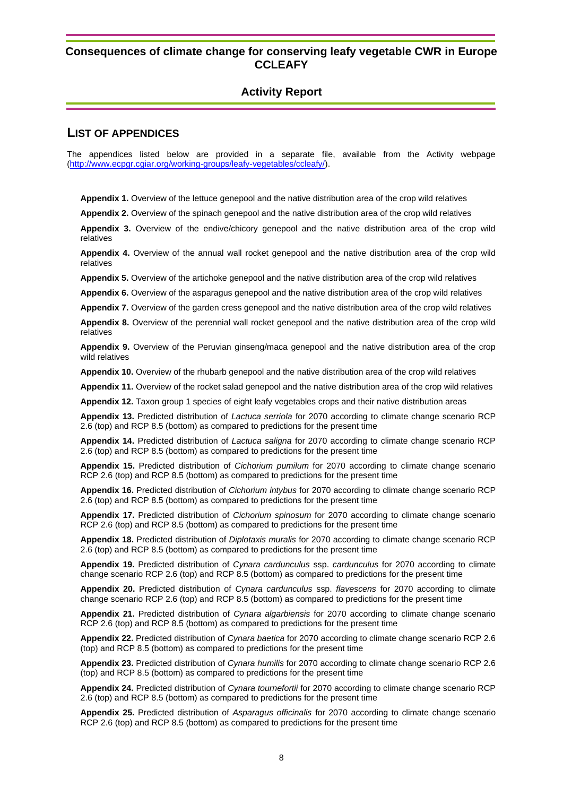#### **Activity Report**

#### <span id="page-8-0"></span>**LIST OF APPENDICES**

The appendices listed below are provided in a separate file, available from the Activity webpage [\(http://www.ecpgr.cgiar.org/working-groups/leafy-vegetables/ccleafy/\)](http://www.ecpgr.cgiar.org/working-groups/leafy-vegetables/ccleafy/).

**Appendix 1.** Overview of the lettuce genepool and the native distribution area of the crop wild relatives

**Appendix 2.** Overview of the spinach genepool and the native distribution area of the crop wild relatives

**Appendix 3.** Overview of the endive/chicory genepool and the native distribution area of the crop wild relatives

**Appendix 4.** Overview of the annual wall rocket genepool and the native distribution area of the crop wild relatives

**Appendix 5.** Overview of the artichoke genepool and the native distribution area of the crop wild relatives

**Appendix 6.** Overview of the asparagus genepool and the native distribution area of the crop wild relatives

**Appendix 7.** Overview of the garden cress genepool and the native distribution area of the crop wild relatives

**Appendix 8.** Overview of the perennial wall rocket genepool and the native distribution area of the crop wild relatives

**Appendix 9.** Overview of the Peruvian ginseng/maca genepool and the native distribution area of the crop wild relatives

**Appendix 10.** Overview of the rhubarb genepool and the native distribution area of the crop wild relatives

**Appendix 11.** Overview of the rocket salad genepool and the native distribution area of the crop wild relatives

**Appendix 12.** Taxon group 1 species of eight leafy vegetables crops and their native distribution areas

**Appendix 13.** Predicted distribution of *Lactuca serriola* for 2070 according to climate change scenario RCP 2.6 (top) and RCP 8.5 (bottom) as compared to predictions for the present time

**Appendix 14.** Predicted distribution of *Lactuca saligna* for 2070 according to climate change scenario RCP 2.6 (top) and RCP 8.5 (bottom) as compared to predictions for the present time

**Appendix 15.** Predicted distribution of *Cichorium pumilum* for 2070 according to climate change scenario RCP 2.6 (top) and RCP 8.5 (bottom) as compared to predictions for the present time

**Appendix 16.** Predicted distribution of *Cichorium intybus* for 2070 according to climate change scenario RCP 2.6 (top) and RCP 8.5 (bottom) as compared to predictions for the present time

**Appendix 17.** Predicted distribution of *Cichorium spinosum* for 2070 according to climate change scenario RCP 2.6 (top) and RCP 8.5 (bottom) as compared to predictions for the present time

**Appendix 18.** Predicted distribution of *Diplotaxis muralis* for 2070 according to climate change scenario RCP 2.6 (top) and RCP 8.5 (bottom) as compared to predictions for the present time

**Appendix 19.** Predicted distribution of *Cynara cardunculus* ssp. *cardunculus* for 2070 according to climate change scenario RCP 2.6 (top) and RCP 8.5 (bottom) as compared to predictions for the present time

**Appendix 20.** Predicted distribution of *Cynara cardunculus* ssp. *flavescens* for 2070 according to climate change scenario RCP 2.6 (top) and RCP 8.5 (bottom) as compared to predictions for the present time

**Appendix 21.** Predicted distribution of *Cynara algarbiensis* for 2070 according to climate change scenario RCP 2.6 (top) and RCP 8.5 (bottom) as compared to predictions for the present time

**Appendix 22.** Predicted distribution of *Cynara baetica* for 2070 according to climate change scenario RCP 2.6 (top) and RCP 8.5 (bottom) as compared to predictions for the present time

**Appendix 23.** Predicted distribution of *Cynara humilis* for 2070 according to climate change scenario RCP 2.6 (top) and RCP 8.5 (bottom) as compared to predictions for the present time

**Appendix 24.** Predicted distribution of *Cynara tournefortii* for 2070 according to climate change scenario RCP 2.6 (top) and RCP 8.5 (bottom) as compared to predictions for the present time

**Appendix 25.** Predicted distribution of *Asparagus officinalis* for 2070 according to climate change scenario RCP 2.6 (top) and RCP 8.5 (bottom) as compared to predictions for the present time